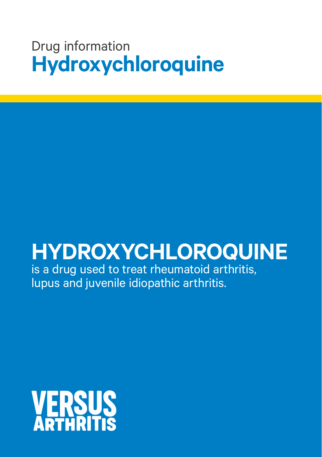## Drug information **Hydroxychloroquine**

# **HYDROXYCHLOROQUINE**

is a drug used to treat rheumatoid arthritis, lupus and juvenile idiopathic arthritis.

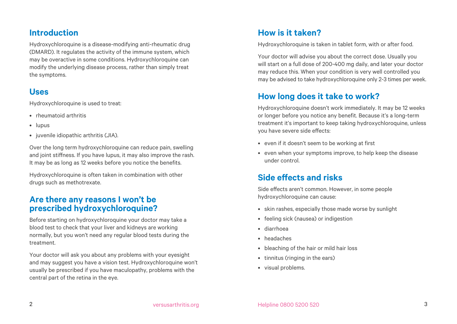#### **Introduction**

Hydroxychloroquine is a disease-modifying anti-rheumatic drug (DMARD). It regulates the activity of the immune system, which may be overactive in some conditions. Hydroxychloroquine can modify the underlying disease process, rather than simply treat the symptoms.

#### **Uses**

Hydroxychloroquine is used to treat:

- rheumatoid arthritis
- lupus
- juvenile idiopathic arthritis (JIA).

Over the long term hydroxychloroquine can reduce pain, swelling and joint stiffness. If you have lupus, it may also improve the rash. It may be as long as 12 weeks before you notice the benefits.

Hydroxychloroquine is often taken in combination with other drugs such as methotrexate.

#### **Are there any reasons I won't be prescribed hydroxychloroquine?**

Before starting on hydroxychloroquine your doctor may take a blood test to check that your liver and kidneys are working normally, but you won't need any regular blood tests during the treatment.

Your doctor will ask you about any problems with your eyesight and may suggest you have a vision test. Hydroxychloroquine won't usually be prescribed if you have maculopathy, problems with the central part of the retina in the eye.

#### **How is it taken?**

Hydroxychloroquine is taken in tablet form, with or after food.

Your doctor will advise you about the correct dose. Usually you will start on a full dose of 200-400 mg daily, and later your doctor may reduce this. When your condition is very well controlled you may be advised to take hydroxychloroquine only 2-3 times per week.

### **How long does it take to work?**

Hydroxychloroquine doesn't work immediately. It may be 12 weeks or longer before you notice any benefit. Because it's a long-term treatment it's important to keep taking hydroxychloroquine, unless you have severe side effects:

- even if it doesn't seem to be working at first
- even when your symptoms improve, to help keep the disease under control.

#### **Side effects and risks**

Side effects aren't common. However, in some people hydroxychloroquine can cause:

- skin rashes, especially those made worse by sunlight
- feeling sick (nausea) or indigestion
- diarrhoea
- headaches
- bleaching of the hair or mild hair loss
- tinnitus (ringing in the ears)
- visual problems.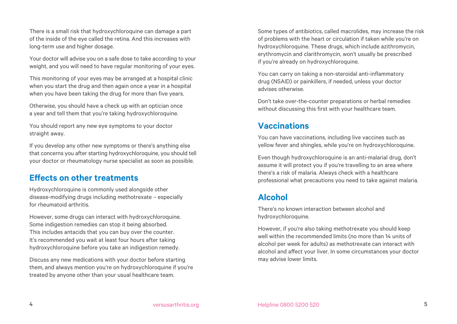There is a small risk that hydroxychloroquine can damage a part of the inside of the eye called the retina. And this increases with long-term use and higher dosage.

Your doctor will advise you on a safe dose to take according to your weight, and you will need to have regular monitoring of your eyes.

This monitoring of your eyes may be arranged at a hospital clinic when you start the drug and then again once a year in a hospital when you have been taking the drug for more than five years.

Otherwise, you should have a check up with an optician once a year and tell them that you're taking hydroxychloroquine.

You should report any new eye symptoms to your doctor straight away.

If you develop any other new symptoms or there's anything else that concerns you after starting hydroxychloroquine, you should tell your doctor or rheumatology nurse specialist as soon as possible.

#### **Effects on other treatments**

Hydroxychloroquine is commonly used alongside other disease-modifying drugs including methotrexate – especially for rheumatoid arthritis.

However, some drugs can interact with hydroxychloroquine. Some indigestion remedies can stop it being absorbed. This includes antacids that you can buy over the counter. It's recommended you wait at least four hours after taking hydroxychloroquine before you take an indigestion remedy.

Discuss any new medications with your doctor before starting them, and always mention you're on hydroxychloroquine if you're treated by anyone other than your usual healthcare team.

Some types of antibiotics, called macrolides, may increase the risk of problems with the heart or circulation if taken while you're on hydroxychloroquine. These drugs, which include azithromycin, erythromycin and clarithromycin, won't usually be prescribed if you're already on hydroxychloroquine.

You can carry on taking a non-steroidal anti-inflammatory drug (NSAID) or painkillers, if needed, unless your doctor advises otherwise.

Don't take over-the-counter preparations or herbal remedies without discussing this first with your healthcare team.

#### **Vaccinations**

You can have vaccinations, including live vaccines such as yellow fever and shingles, while you're on hydroxychloroquine.

Even though hydroxychloroquine is an anti-malarial drug, don't assume it will protect you if you're travelling to an area where there's a risk of malaria. Always check with a healthcare professional what precautions you need to take against malaria.

#### **Alcohol**

There's no known interaction between alcohol and hydroxychloroquine.

However, if you're also taking methotrexate you should keep well within the recommended limits (no more than 14 units of alcohol per week for adults) as methotrexate can interact with alcohol and affect your liver. In some circumstances your doctor may advise lower limits.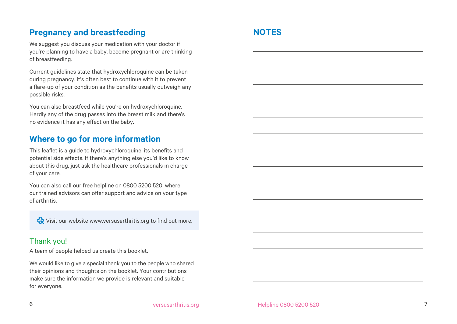#### **Pregnancy and breastfeeding**

We suggest you discuss your medication with your doctor if you're planning to have a baby, become pregnant or are thinking of breastfeeding.

Current guidelines state that hydroxychloroquine can be taken during pregnancy. It's often best to continue with it to prevent a flare-up of your condition as the benefits usually outweigh any possible risks.

You can also breastfeed while you're on hydroxychloroquine. Hardly any of the drug passes into the breast milk and there's no evidence it has any effect on the baby.

#### **Where to go for more information**

This leaflet is a guide to hydroxychloroquine, its benefits and potential side effects. If there's anything else you'd like to know about this drug, just ask the healthcare professionals in charge of your care.

You can also call our free helpline on 0800 5200 520, where our trained advisors can offer support and advice on your type of arthritis.

Wisit our website www.versusarthritis.org to find out more.

#### Thank you!

A team of people helped us create this booklet.

We would like to give a special thank you to the people who shared their opinions and thoughts on the booklet. Your contributions make sure the information we provide is relevant and suitable for everyone.

#### **NOTES**